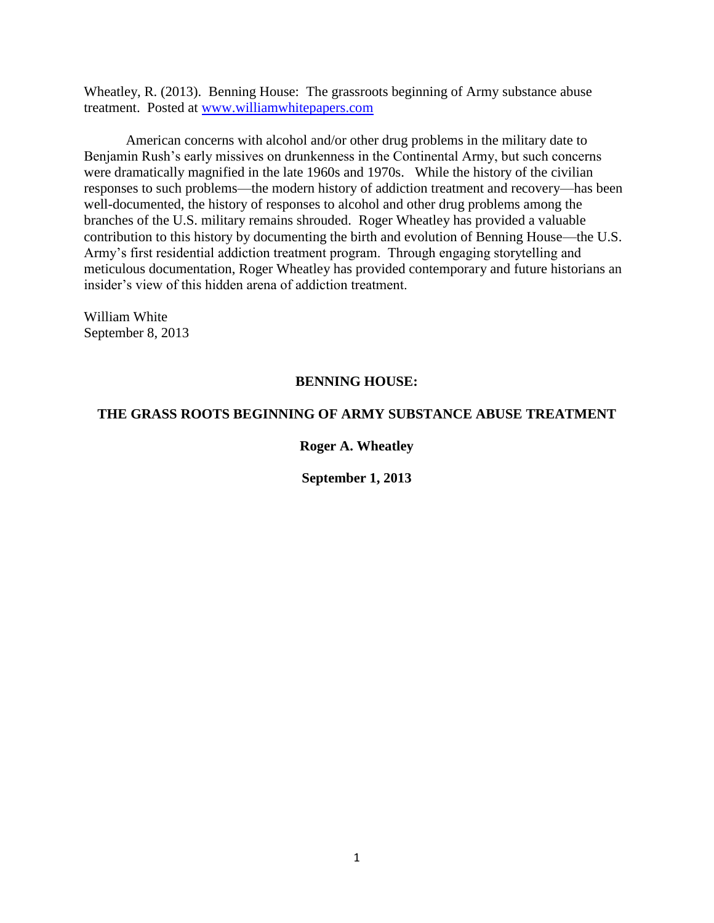Wheatley, R. (2013). Benning House: The grassroots beginning of Army substance abuse treatment. Posted at [www.williamwhitepapers.com](http://www.williamwhitepapers.com/)

American concerns with alcohol and/or other drug problems in the military date to Benjamin Rush's early missives on drunkenness in the Continental Army, but such concerns were dramatically magnified in the late 1960s and 1970s. While the history of the civilian responses to such problems—the modern history of addiction treatment and recovery—has been well-documented, the history of responses to alcohol and other drug problems among the branches of the U.S. military remains shrouded. Roger Wheatley has provided a valuable contribution to this history by documenting the birth and evolution of Benning House—the U.S. Army's first residential addiction treatment program. Through engaging storytelling and meticulous documentation, Roger Wheatley has provided contemporary and future historians an insider's view of this hidden arena of addiction treatment.

William White September 8, 2013

# **BENNING HOUSE:**

# **THE GRASS ROOTS BEGINNING OF ARMY SUBSTANCE ABUSE TREATMENT**

# **Roger A. Wheatley**

**September 1, 2013**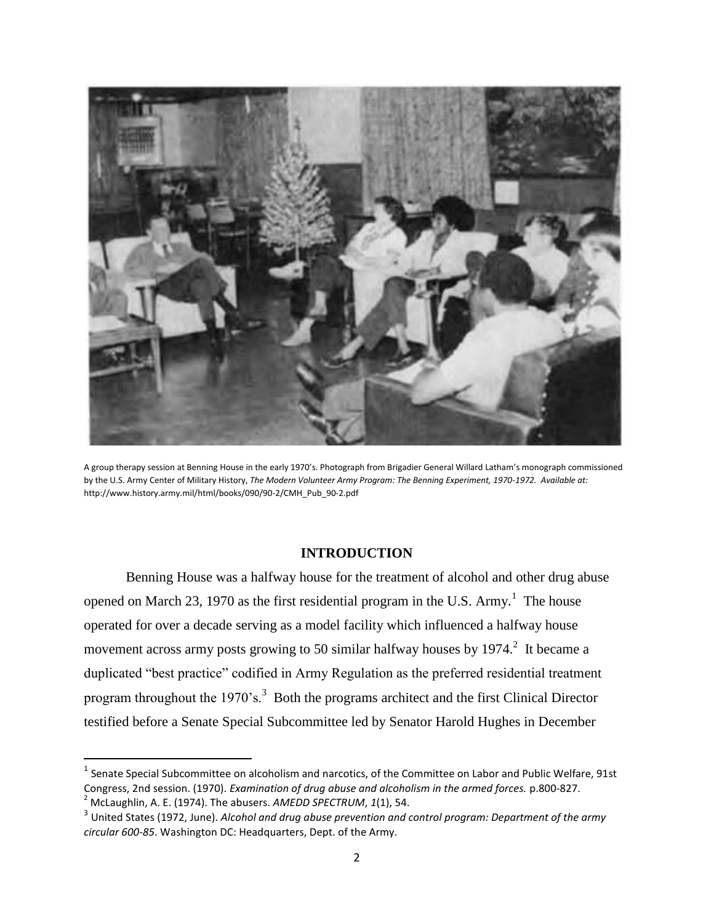

A group therapy session at Benning House in the early 1970's. Photograph from Brigadier General Willard Latham's monograph commissioned by the U.S. Army Center of Military History, *The Modern Volunteer Army Program: The Benning Experiment, 1970-1972. Available at:*  http://www.history.army.mil/html/books/090/90-2/CMH\_Pub\_90-2.pdf

# **INTRODUCTION**

Benning House was a halfway house for the treatment of alcohol and other drug abuse opened on March 23, 1970 as the first residential program in the U.S. Army.<sup>1</sup> The house operated for over a decade serving as a model facility which influenced a halfway house movement across army posts growing to 50 similar halfway houses by  $1974$ <sup>2</sup>. It became a duplicated "best practice" codified in Army Regulation as the preferred residential treatment program throughout the 1970's.<sup>3</sup> Both the programs architect and the first Clinical Director testified before a Senate Special Subcommittee led by Senator Harold Hughes in December

 $\overline{a}$ 

 $^1$  Senate Special Subcommittee on alcoholism and narcotics, of the Committee on Labor and Public Welfare, 91st Congress, 2nd session. (1970). *Examination of drug abuse and alcoholism in the armed forces.* p.800-827. <sup>2</sup> McLaughlin, A. E. (1974). The abusers. *AMEDD SPECTRUM*, *1*(1), 54.

<sup>3</sup> United States (1972, June). *Alcohol and drug abuse prevention and control program: Department of the army circular 600-85*. Washington DC: Headquarters, Dept. of the Army.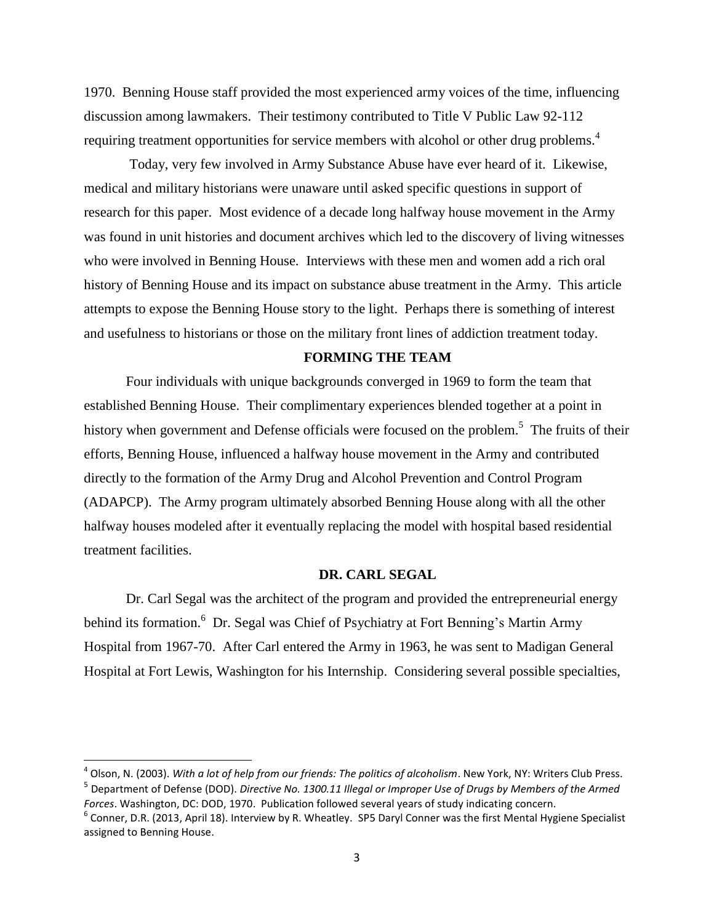1970. Benning House staff provided the most experienced army voices of the time, influencing discussion among lawmakers. Their testimony contributed to Title V Public Law 92-112 requiring treatment opportunities for service members with alcohol or other drug problems.<sup>4</sup>

Today, very few involved in Army Substance Abuse have ever heard of it. Likewise, medical and military historians were unaware until asked specific questions in support of research for this paper. Most evidence of a decade long halfway house movement in the Army was found in unit histories and document archives which led to the discovery of living witnesses who were involved in Benning House. Interviews with these men and women add a rich oral history of Benning House and its impact on substance abuse treatment in the Army. This article attempts to expose the Benning House story to the light. Perhaps there is something of interest and usefulness to historians or those on the military front lines of addiction treatment today.

#### **FORMING THE TEAM**

Four individuals with unique backgrounds converged in 1969 to form the team that established Benning House. Their complimentary experiences blended together at a point in history when government and Defense officials were focused on the problem.<sup>5</sup> The fruits of their efforts, Benning House, influenced a halfway house movement in the Army and contributed directly to the formation of the Army Drug and Alcohol Prevention and Control Program (ADAPCP). The Army program ultimately absorbed Benning House along with all the other halfway houses modeled after it eventually replacing the model with hospital based residential treatment facilities.

#### **DR. CARL SEGAL**

Dr. Carl Segal was the architect of the program and provided the entrepreneurial energy behind its formation.<sup>6</sup> Dr. Segal was Chief of Psychiatry at Fort Benning's Martin Army Hospital from 1967-70. After Carl entered the Army in 1963, he was sent to Madigan General Hospital at Fort Lewis, Washington for his Internship. Considering several possible specialties,

 $\overline{a}$ 

<sup>4</sup> Olson, N. (2003). *With a lot of help from our friends: The politics of alcoholism*. New York, NY: Writers Club Press. 5 Department of Defense (DOD). *Directive No. 1300.11 Illegal or Improper Use of Drugs by Members of the Armed Forces*. Washington, DC: DOD, 1970. Publication followed several years of study indicating concern.

<sup>&</sup>lt;sup>6</sup> Conner, D.R. (2013, April 18). Interview by R. Wheatley. SP5 Daryl Conner was the first Mental Hygiene Specialist assigned to Benning House.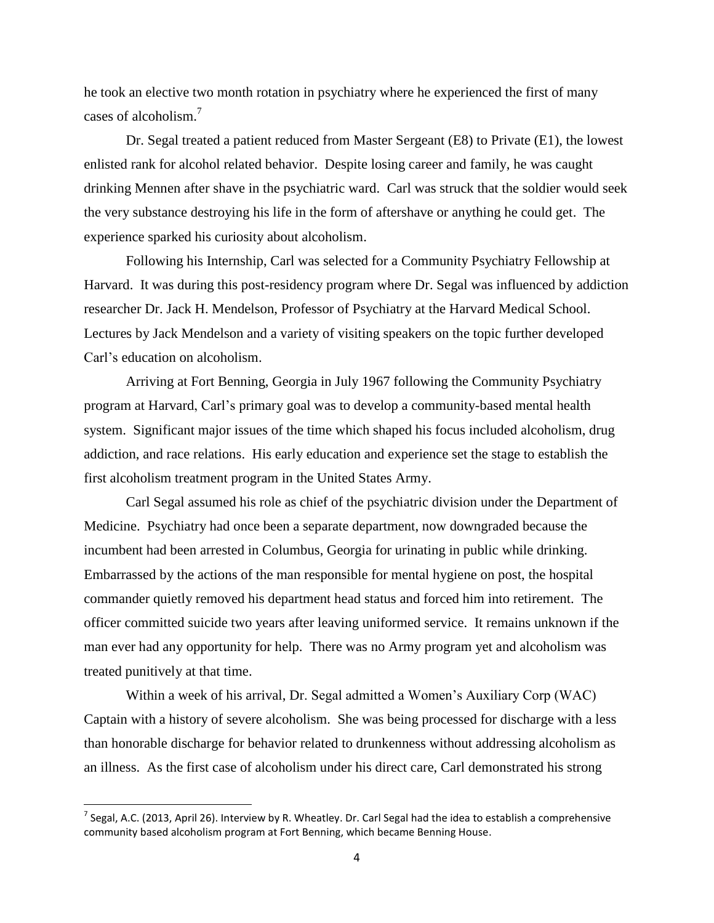he took an elective two month rotation in psychiatry where he experienced the first of many cases of alcoholism.<sup>7</sup>

Dr. Segal treated a patient reduced from Master Sergeant (E8) to Private (E1), the lowest enlisted rank for alcohol related behavior. Despite losing career and family, he was caught drinking Mennen after shave in the psychiatric ward. Carl was struck that the soldier would seek the very substance destroying his life in the form of aftershave or anything he could get. The experience sparked his curiosity about alcoholism.

Following his Internship, Carl was selected for a Community Psychiatry Fellowship at Harvard. It was during this post-residency program where Dr. Segal was influenced by addiction researcher Dr. Jack H. Mendelson, Professor of Psychiatry at the Harvard Medical School. Lectures by Jack Mendelson and a variety of visiting speakers on the topic further developed Carl's education on alcoholism.

Arriving at Fort Benning, Georgia in July 1967 following the Community Psychiatry program at Harvard, Carl's primary goal was to develop a community-based mental health system. Significant major issues of the time which shaped his focus included alcoholism, drug addiction, and race relations. His early education and experience set the stage to establish the first alcoholism treatment program in the United States Army.

Carl Segal assumed his role as chief of the psychiatric division under the Department of Medicine. Psychiatry had once been a separate department, now downgraded because the incumbent had been arrested in Columbus, Georgia for urinating in public while drinking. Embarrassed by the actions of the man responsible for mental hygiene on post, the hospital commander quietly removed his department head status and forced him into retirement. The officer committed suicide two years after leaving uniformed service. It remains unknown if the man ever had any opportunity for help. There was no Army program yet and alcoholism was treated punitively at that time.

Within a week of his arrival, Dr. Segal admitted a Women's Auxiliary Corp (WAC) Captain with a history of severe alcoholism. She was being processed for discharge with a less than honorable discharge for behavior related to drunkenness without addressing alcoholism as an illness. As the first case of alcoholism under his direct care, Carl demonstrated his strong

l

<sup>&</sup>lt;sup>7</sup> Segal, A.C. (2013, April 26). Interview by R. Wheatley. Dr. Carl Segal had the idea to establish a comprehensive community based alcoholism program at Fort Benning, which became Benning House.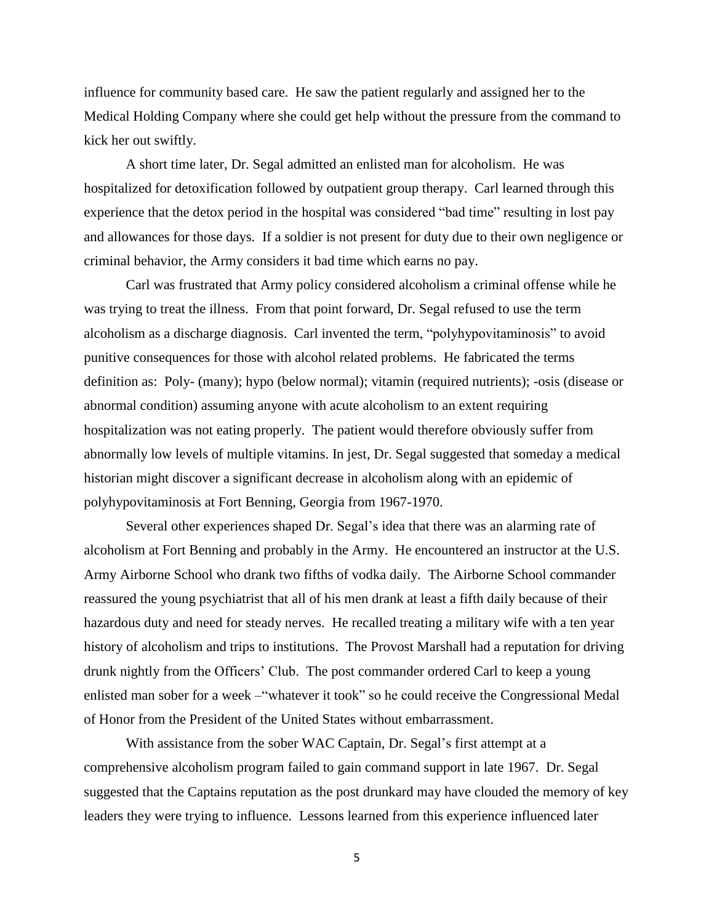influence for community based care. He saw the patient regularly and assigned her to the Medical Holding Company where she could get help without the pressure from the command to kick her out swiftly.

A short time later, Dr. Segal admitted an enlisted man for alcoholism. He was hospitalized for detoxification followed by outpatient group therapy. Carl learned through this experience that the detox period in the hospital was considered "bad time" resulting in lost pay and allowances for those days. If a soldier is not present for duty due to their own negligence or criminal behavior, the Army considers it bad time which earns no pay.

Carl was frustrated that Army policy considered alcoholism a criminal offense while he was trying to treat the illness. From that point forward, Dr. Segal refused to use the term alcoholism as a discharge diagnosis. Carl invented the term, "polyhypovitaminosis" to avoid punitive consequences for those with alcohol related problems. He fabricated the terms definition as: Poly- (many); hypo (below normal); vitamin (required nutrients); -osis (disease or abnormal condition) assuming anyone with acute alcoholism to an extent requiring hospitalization was not eating properly. The patient would therefore obviously suffer from abnormally low levels of multiple vitamins. In jest, Dr. Segal suggested that someday a medical historian might discover a significant decrease in alcoholism along with an epidemic of polyhypovitaminosis at Fort Benning, Georgia from 1967-1970.

Several other experiences shaped Dr. Segal's idea that there was an alarming rate of alcoholism at Fort Benning and probably in the Army. He encountered an instructor at the U.S. Army Airborne School who drank two fifths of vodka daily. The Airborne School commander reassured the young psychiatrist that all of his men drank at least a fifth daily because of their hazardous duty and need for steady nerves. He recalled treating a military wife with a ten year history of alcoholism and trips to institutions. The Provost Marshall had a reputation for driving drunk nightly from the Officers' Club. The post commander ordered Carl to keep a young enlisted man sober for a week –"whatever it took" so he could receive the Congressional Medal of Honor from the President of the United States without embarrassment.

With assistance from the sober WAC Captain, Dr. Segal's first attempt at a comprehensive alcoholism program failed to gain command support in late 1967. Dr. Segal suggested that the Captains reputation as the post drunkard may have clouded the memory of key leaders they were trying to influence. Lessons learned from this experience influenced later

5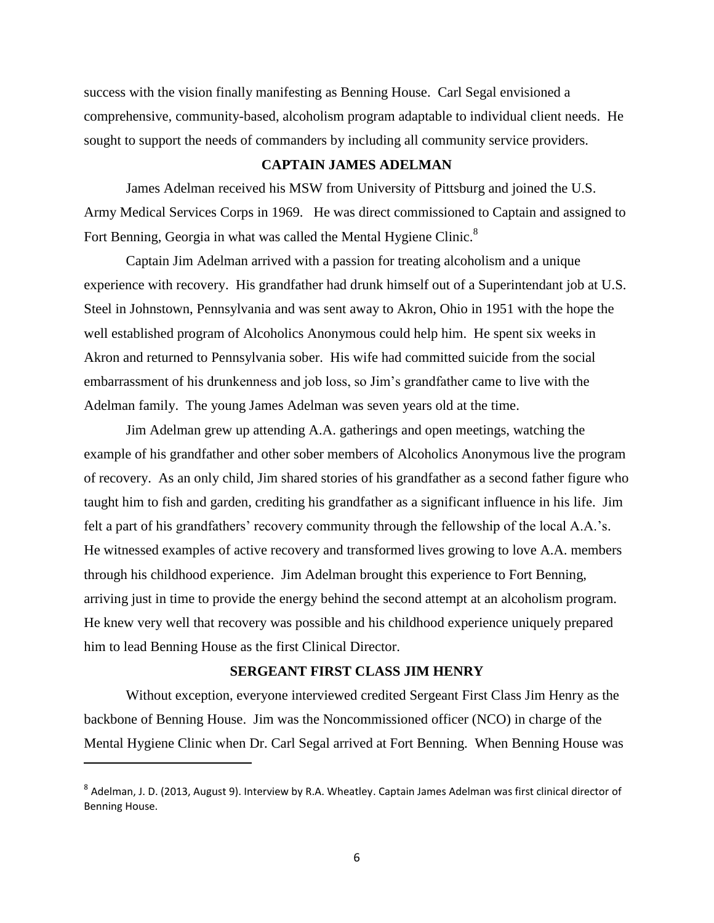success with the vision finally manifesting as Benning House. Carl Segal envisioned a comprehensive, community-based, alcoholism program adaptable to individual client needs. He sought to support the needs of commanders by including all community service providers.

### **CAPTAIN JAMES ADELMAN**

James Adelman received his MSW from University of Pittsburg and joined the U.S. Army Medical Services Corps in 1969. He was direct commissioned to Captain and assigned to Fort Benning, Georgia in what was called the Mental Hygiene Clinic.<sup>8</sup>

Captain Jim Adelman arrived with a passion for treating alcoholism and a unique experience with recovery. His grandfather had drunk himself out of a Superintendant job at U.S. Steel in Johnstown, Pennsylvania and was sent away to Akron, Ohio in 1951 with the hope the well established program of Alcoholics Anonymous could help him. He spent six weeks in Akron and returned to Pennsylvania sober. His wife had committed suicide from the social embarrassment of his drunkenness and job loss, so Jim's grandfather came to live with the Adelman family. The young James Adelman was seven years old at the time.

Jim Adelman grew up attending A.A. gatherings and open meetings, watching the example of his grandfather and other sober members of Alcoholics Anonymous live the program of recovery. As an only child, Jim shared stories of his grandfather as a second father figure who taught him to fish and garden, crediting his grandfather as a significant influence in his life. Jim felt a part of his grandfathers' recovery community through the fellowship of the local A.A.'s. He witnessed examples of active recovery and transformed lives growing to love A.A. members through his childhood experience. Jim Adelman brought this experience to Fort Benning, arriving just in time to provide the energy behind the second attempt at an alcoholism program. He knew very well that recovery was possible and his childhood experience uniquely prepared him to lead Benning House as the first Clinical Director.

### **SERGEANT FIRST CLASS JIM HENRY**

Without exception, everyone interviewed credited Sergeant First Class Jim Henry as the backbone of Benning House. Jim was the Noncommissioned officer (NCO) in charge of the Mental Hygiene Clinic when Dr. Carl Segal arrived at Fort Benning. When Benning House was

<sup>&</sup>lt;sup>8</sup> Adelman, J. D. (2013, August 9). Interview by R.A. Wheatley. Captain James Adelman was first clinical director of Benning House.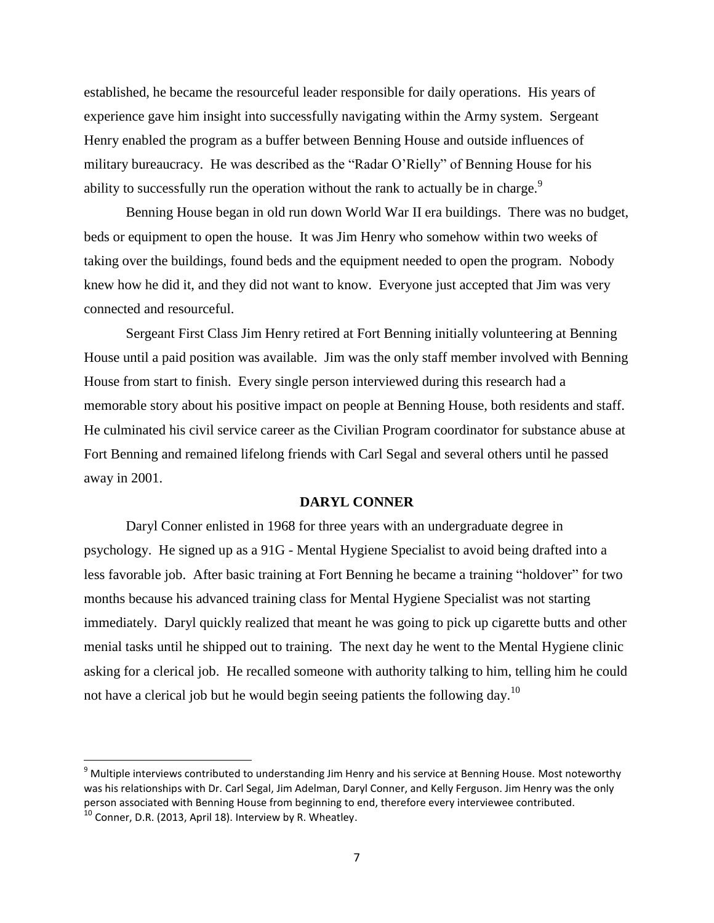established, he became the resourceful leader responsible for daily operations. His years of experience gave him insight into successfully navigating within the Army system. Sergeant Henry enabled the program as a buffer between Benning House and outside influences of military bureaucracy. He was described as the "Radar O'Rielly" of Benning House for his ability to successfully run the operation without the rank to actually be in charge. $9$ 

Benning House began in old run down World War II era buildings. There was no budget, beds or equipment to open the house. It was Jim Henry who somehow within two weeks of taking over the buildings, found beds and the equipment needed to open the program. Nobody knew how he did it, and they did not want to know. Everyone just accepted that Jim was very connected and resourceful.

Sergeant First Class Jim Henry retired at Fort Benning initially volunteering at Benning House until a paid position was available. Jim was the only staff member involved with Benning House from start to finish. Every single person interviewed during this research had a memorable story about his positive impact on people at Benning House, both residents and staff. He culminated his civil service career as the Civilian Program coordinator for substance abuse at Fort Benning and remained lifelong friends with Carl Segal and several others until he passed away in 2001.

### **DARYL CONNER**

Daryl Conner enlisted in 1968 for three years with an undergraduate degree in psychology. He signed up as a 91G - Mental Hygiene Specialist to avoid being drafted into a less favorable job. After basic training at Fort Benning he became a training "holdover" for two months because his advanced training class for Mental Hygiene Specialist was not starting immediately. Daryl quickly realized that meant he was going to pick up cigarette butts and other menial tasks until he shipped out to training. The next day he went to the Mental Hygiene clinic asking for a clerical job. He recalled someone with authority talking to him, telling him he could not have a clerical job but he would begin seeing patients the following day.<sup>10</sup>

 $\overline{a}$ 

 $9$  Multiple interviews contributed to understanding Jim Henry and his service at Benning House. Most noteworthy was his relationships with Dr. Carl Segal, Jim Adelman, Daryl Conner, and Kelly Ferguson. Jim Henry was the only person associated with Benning House from beginning to end, therefore every interviewee contributed.

 $10$  Conner, D.R. (2013, April 18). Interview by R. Wheatley.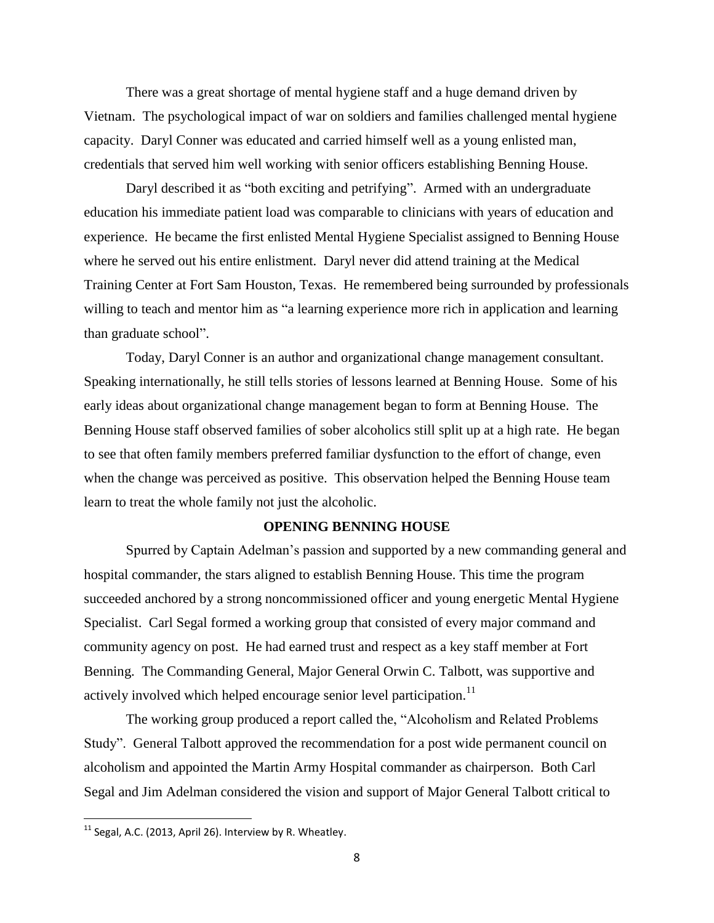There was a great shortage of mental hygiene staff and a huge demand driven by Vietnam. The psychological impact of war on soldiers and families challenged mental hygiene capacity. Daryl Conner was educated and carried himself well as a young enlisted man, credentials that served him well working with senior officers establishing Benning House.

Daryl described it as "both exciting and petrifying". Armed with an undergraduate education his immediate patient load was comparable to clinicians with years of education and experience. He became the first enlisted Mental Hygiene Specialist assigned to Benning House where he served out his entire enlistment. Daryl never did attend training at the Medical Training Center at Fort Sam Houston, Texas. He remembered being surrounded by professionals willing to teach and mentor him as "a learning experience more rich in application and learning than graduate school".

Today, Daryl Conner is an author and organizational change management consultant. Speaking internationally, he still tells stories of lessons learned at Benning House. Some of his early ideas about organizational change management began to form at Benning House. The Benning House staff observed families of sober alcoholics still split up at a high rate. He began to see that often family members preferred familiar dysfunction to the effort of change, even when the change was perceived as positive. This observation helped the Benning House team learn to treat the whole family not just the alcoholic.

# **OPENING BENNING HOUSE**

Spurred by Captain Adelman's passion and supported by a new commanding general and hospital commander, the stars aligned to establish Benning House. This time the program succeeded anchored by a strong noncommissioned officer and young energetic Mental Hygiene Specialist. Carl Segal formed a working group that consisted of every major command and community agency on post. He had earned trust and respect as a key staff member at Fort Benning. The Commanding General, Major General Orwin C. Talbott, was supportive and actively involved which helped encourage senior level participation.<sup>11</sup>

The working group produced a report called the, "Alcoholism and Related Problems Study". General Talbott approved the recommendation for a post wide permanent council on alcoholism and appointed the Martin Army Hospital commander as chairperson. Both Carl Segal and Jim Adelman considered the vision and support of Major General Talbott critical to

 $11$  Segal, A.C. (2013, April 26). Interview by R. Wheatley.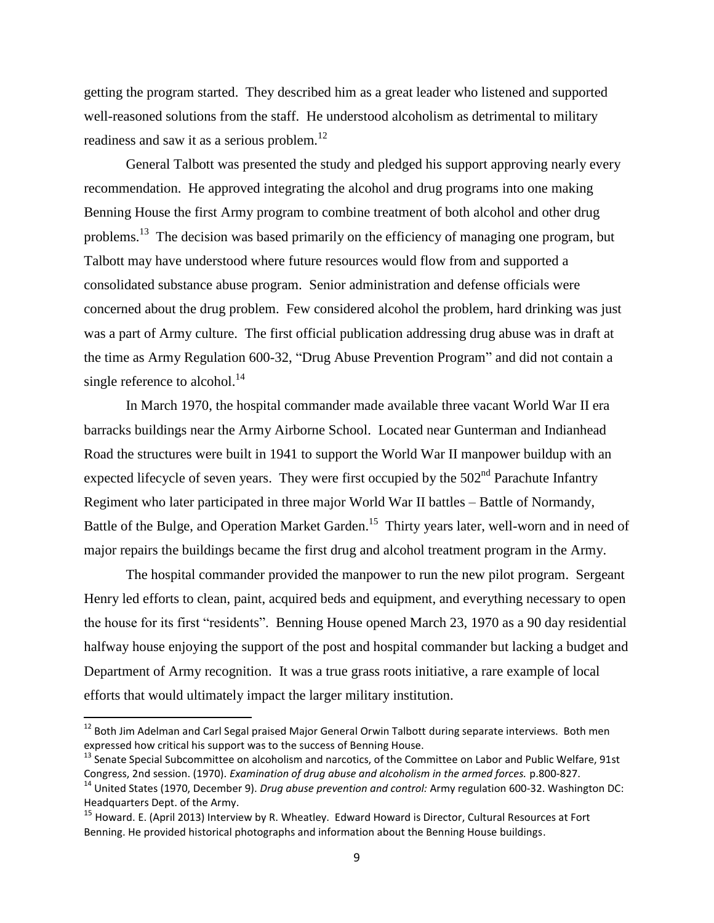getting the program started. They described him as a great leader who listened and supported well-reasoned solutions from the staff. He understood alcoholism as detrimental to military readiness and saw it as a serious problem. $^{12}$ 

General Talbott was presented the study and pledged his support approving nearly every recommendation. He approved integrating the alcohol and drug programs into one making Benning House the first Army program to combine treatment of both alcohol and other drug problems.<sup>13</sup> The decision was based primarily on the efficiency of managing one program, but Talbott may have understood where future resources would flow from and supported a consolidated substance abuse program. Senior administration and defense officials were concerned about the drug problem. Few considered alcohol the problem, hard drinking was just was a part of Army culture. The first official publication addressing drug abuse was in draft at the time as Army Regulation 600-32, "Drug Abuse Prevention Program" and did not contain a single reference to alcohol. $^{14}$ 

In March 1970, the hospital commander made available three vacant World War II era barracks buildings near the Army Airborne School. Located near Gunterman and Indianhead Road the structures were built in 1941 to support the World War II manpower buildup with an expected lifecycle of seven years. They were first occupied by the  $502<sup>nd</sup>$  Parachute Infantry Regiment who later participated in three major World War II battles – Battle of Normandy, Battle of the Bulge, and Operation Market Garden.<sup>15</sup> Thirty years later, well-worn and in need of major repairs the buildings became the first drug and alcohol treatment program in the Army.

The hospital commander provided the manpower to run the new pilot program. Sergeant Henry led efforts to clean, paint, acquired beds and equipment, and everything necessary to open the house for its first "residents". Benning House opened March 23, 1970 as a 90 day residential halfway house enjoying the support of the post and hospital commander but lacking a budget and Department of Army recognition. It was a true grass roots initiative, a rare example of local efforts that would ultimately impact the larger military institution.

<sup>&</sup>lt;sup>12</sup> Both Jim Adelman and Carl Segal praised Major General Orwin Talbott during separate interviews. Both men expressed how critical his support was to the success of Benning House.

<sup>&</sup>lt;sup>13</sup> Senate Special Subcommittee on alcoholism and narcotics, of the Committee on Labor and Public Welfare, 91st Congress, 2nd session. (1970). *Examination of drug abuse and alcoholism in the armed forces.* p.800-827.

<sup>&</sup>lt;sup>14</sup> United States (1970, December 9). *Drug abuse prevention and control:* Army regulation 600-32. Washington DC: Headquarters Dept. of the Army.

<sup>&</sup>lt;sup>15</sup> Howard. E. (April 2013) Interview by R. Wheatley. Edward Howard is Director, Cultural Resources at Fort Benning. He provided historical photographs and information about the Benning House buildings.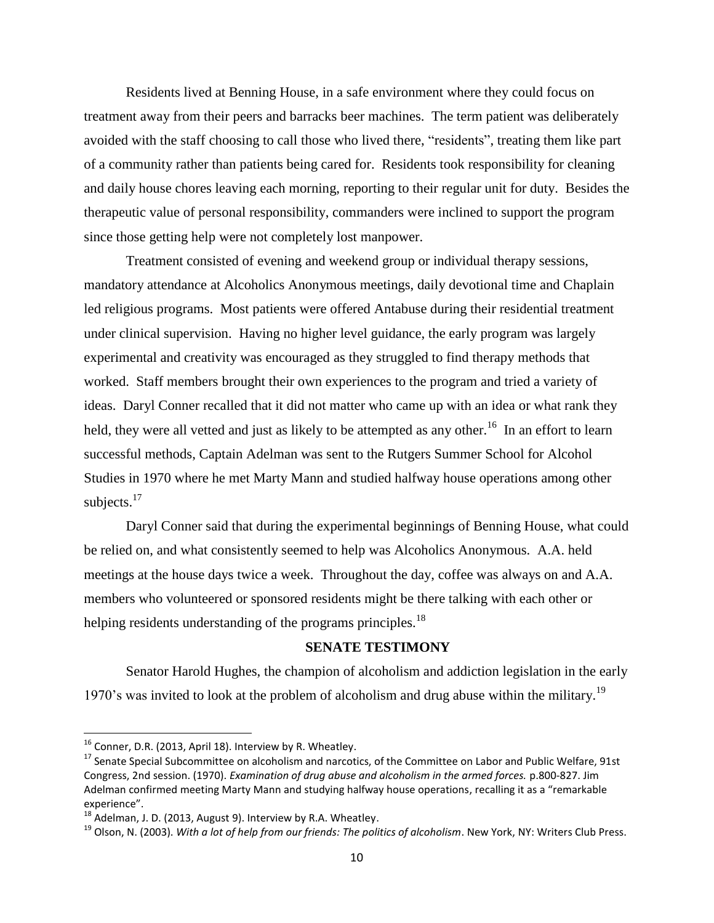Residents lived at Benning House, in a safe environment where they could focus on treatment away from their peers and barracks beer machines. The term patient was deliberately avoided with the staff choosing to call those who lived there, "residents", treating them like part of a community rather than patients being cared for. Residents took responsibility for cleaning and daily house chores leaving each morning, reporting to their regular unit for duty. Besides the therapeutic value of personal responsibility, commanders were inclined to support the program since those getting help were not completely lost manpower.

Treatment consisted of evening and weekend group or individual therapy sessions, mandatory attendance at Alcoholics Anonymous meetings, daily devotional time and Chaplain led religious programs. Most patients were offered Antabuse during their residential treatment under clinical supervision. Having no higher level guidance, the early program was largely experimental and creativity was encouraged as they struggled to find therapy methods that worked. Staff members brought their own experiences to the program and tried a variety of ideas. Daryl Conner recalled that it did not matter who came up with an idea or what rank they held, they were all vetted and just as likely to be attempted as any other.<sup>16</sup> In an effort to learn successful methods, Captain Adelman was sent to the Rutgers Summer School for Alcohol Studies in 1970 where he met Marty Mann and studied halfway house operations among other subjects.<sup>17</sup>

Daryl Conner said that during the experimental beginnings of Benning House, what could be relied on, and what consistently seemed to help was Alcoholics Anonymous. A.A. held meetings at the house days twice a week. Throughout the day, coffee was always on and A.A. members who volunteered or sponsored residents might be there talking with each other or helping residents understanding of the programs principles.<sup>18</sup>

# **SENATE TESTIMONY**

Senator Harold Hughes, the champion of alcoholism and addiction legislation in the early 1970's was invited to look at the problem of alcoholism and drug abuse within the military.<sup>19</sup>

 $^{16}$  Conner, D.R. (2013, April 18). Interview by R. Wheatley.

<sup>&</sup>lt;sup>17</sup> Senate Special Subcommittee on alcoholism and narcotics, of the Committee on Labor and Public Welfare, 91st Congress, 2nd session. (1970). *Examination of drug abuse and alcoholism in the armed forces.* p.800-827. Jim Adelman confirmed meeting Marty Mann and studying halfway house operations, recalling it as a "remarkable experience".

 $18$  Adelman, J. D. (2013, August 9). Interview by R.A. Wheatley.

<sup>&</sup>lt;sup>19</sup> Olson. N. (2003). *With a lot of help from our friends: The politics of alcoholism*. New York, NY: Writers Club Press.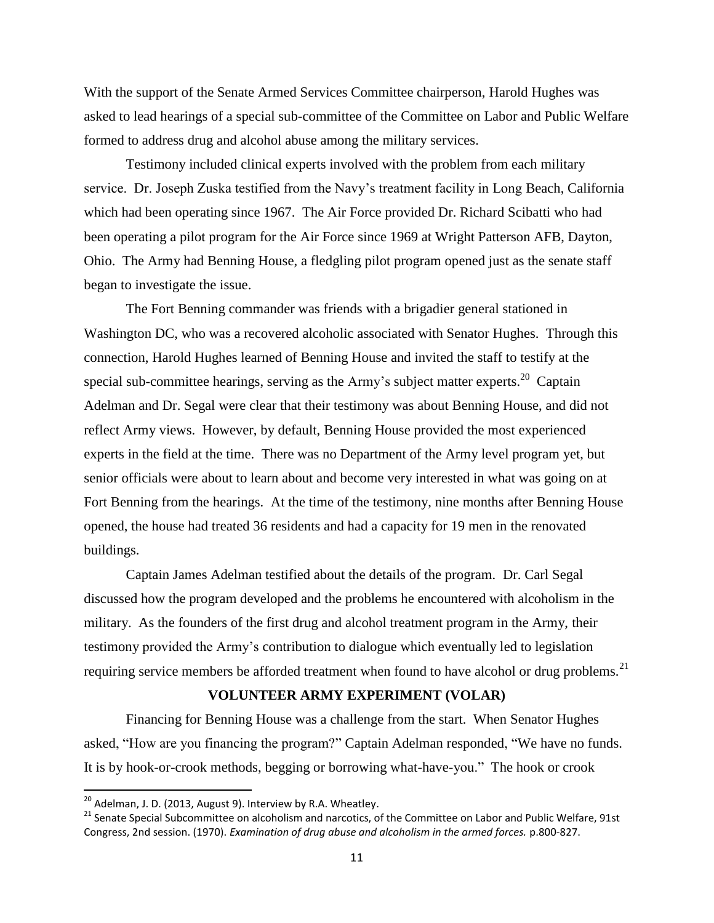With the support of the Senate Armed Services Committee chairperson, Harold Hughes was asked to lead hearings of a special sub-committee of the Committee on Labor and Public Welfare formed to address drug and alcohol abuse among the military services.

Testimony included clinical experts involved with the problem from each military service. Dr. Joseph Zuska testified from the Navy's treatment facility in Long Beach, California which had been operating since 1967. The Air Force provided Dr. Richard Scibatti who had been operating a pilot program for the Air Force since 1969 at Wright Patterson AFB, Dayton, Ohio. The Army had Benning House, a fledgling pilot program opened just as the senate staff began to investigate the issue.

The Fort Benning commander was friends with a brigadier general stationed in Washington DC, who was a recovered alcoholic associated with Senator Hughes. Through this connection, Harold Hughes learned of Benning House and invited the staff to testify at the special sub-committee hearings, serving as the Army's subject matter experts.<sup>20</sup> Captain Adelman and Dr. Segal were clear that their testimony was about Benning House, and did not reflect Army views. However, by default, Benning House provided the most experienced experts in the field at the time. There was no Department of the Army level program yet, but senior officials were about to learn about and become very interested in what was going on at Fort Benning from the hearings. At the time of the testimony, nine months after Benning House opened, the house had treated 36 residents and had a capacity for 19 men in the renovated buildings.

Captain James Adelman testified about the details of the program. Dr. Carl Segal discussed how the program developed and the problems he encountered with alcoholism in the military. As the founders of the first drug and alcohol treatment program in the Army, their testimony provided the Army's contribution to dialogue which eventually led to legislation requiring service members be afforded treatment when found to have alcohol or drug problems.<sup>21</sup>

# **VOLUNTEER ARMY EXPERIMENT (VOLAR)**

Financing for Benning House was a challenge from the start. When Senator Hughes asked, "How are you financing the program?" Captain Adelman responded, "We have no funds. It is by hook-or-crook methods, begging or borrowing what-have-you." The hook or crook

 $^{20}$  Adelman, J. D. (2013, August 9). Interview by R.A. Wheatley.

<sup>&</sup>lt;sup>21</sup> Senate Special Subcommittee on alcoholism and narcotics, of the Committee on Labor and Public Welfare, 91st Congress, 2nd session. (1970). *Examination of drug abuse and alcoholism in the armed forces.* p.800-827.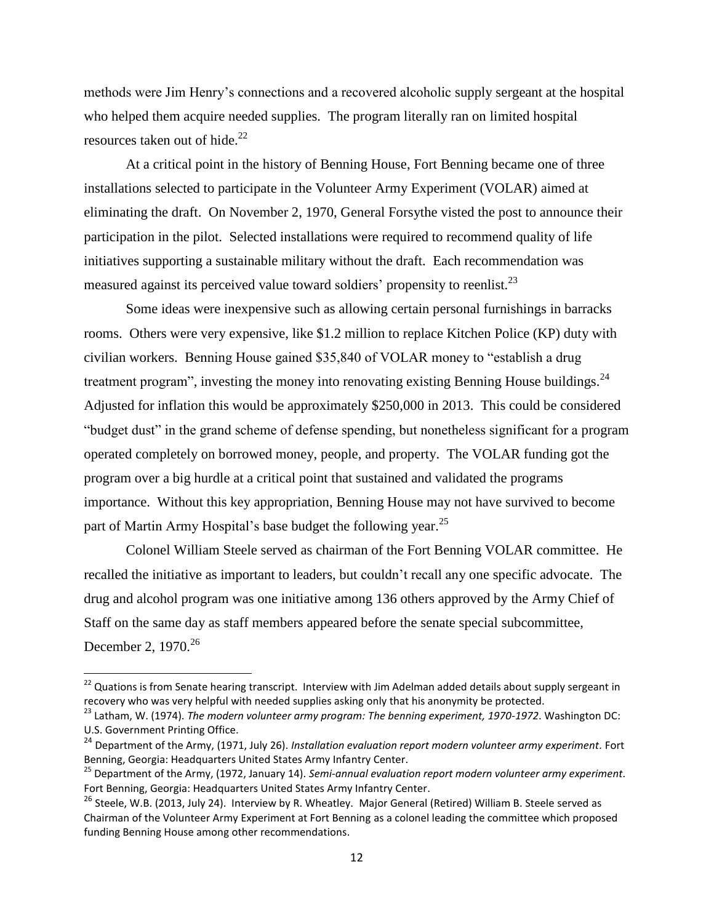methods were Jim Henry's connections and a recovered alcoholic supply sergeant at the hospital who helped them acquire needed supplies. The program literally ran on limited hospital resources taken out of hide.<sup>22</sup>

At a critical point in the history of Benning House, Fort Benning became one of three installations selected to participate in the Volunteer Army Experiment (VOLAR) aimed at eliminating the draft. On November 2, 1970, General Forsythe visted the post to announce their participation in the pilot. Selected installations were required to recommend quality of life initiatives supporting a sustainable military without the draft. Each recommendation was measured against its perceived value toward soldiers' propensity to reenlist.<sup>23</sup>

Some ideas were inexpensive such as allowing certain personal furnishings in barracks rooms. Others were very expensive, like \$1.2 million to replace Kitchen Police (KP) duty with civilian workers. Benning House gained \$35,840 of VOLAR money to "establish a drug treatment program", investing the money into renovating existing Benning House buildings.<sup>24</sup> Adjusted for inflation this would be approximately \$250,000 in 2013. This could be considered "budget dust" in the grand scheme of defense spending, but nonetheless significant for a program operated completely on borrowed money, people, and property. The VOLAR funding got the program over a big hurdle at a critical point that sustained and validated the programs importance. Without this key appropriation, Benning House may not have survived to become part of Martin Army Hospital's base budget the following year.<sup>25</sup>

Colonel William Steele served as chairman of the Fort Benning VOLAR committee. He recalled the initiative as important to leaders, but couldn't recall any one specific advocate. The drug and alcohol program was one initiative among 136 others approved by the Army Chief of Staff on the same day as staff members appeared before the senate special subcommittee, December 2, 1970.<sup>26</sup>

<sup>&</sup>lt;sup>22</sup> Quations is from Senate hearing transcript. Interview with Jim Adelman added details about supply sergeant in recovery who was very helpful with needed supplies asking only that his anonymity be protected.

<sup>&</sup>lt;sup>23</sup> Latham, W. (1974). *The modern volunteer army program: The benning experiment, 1970-1972*. Washington DC: U.S. Government Printing Office.

<sup>&</sup>lt;sup>24</sup> Department of the Army, (1971, July 26). *Installation evaluation report modern volunteer army experiment*. Fort Benning, Georgia: Headquarters United States Army Infantry Center.

<sup>25</sup> Department of the Army, (1972, January 14). *Semi-annual evaluation report modern volunteer army experiment.*  Fort Benning, Georgia: Headquarters United States Army Infantry Center.

<sup>&</sup>lt;sup>26</sup> Steele. W.B. (2013, July 24). Interview by R. Wheatley. Major General (Retired) William B. Steele served as Chairman of the Volunteer Army Experiment at Fort Benning as a colonel leading the committee which proposed funding Benning House among other recommendations.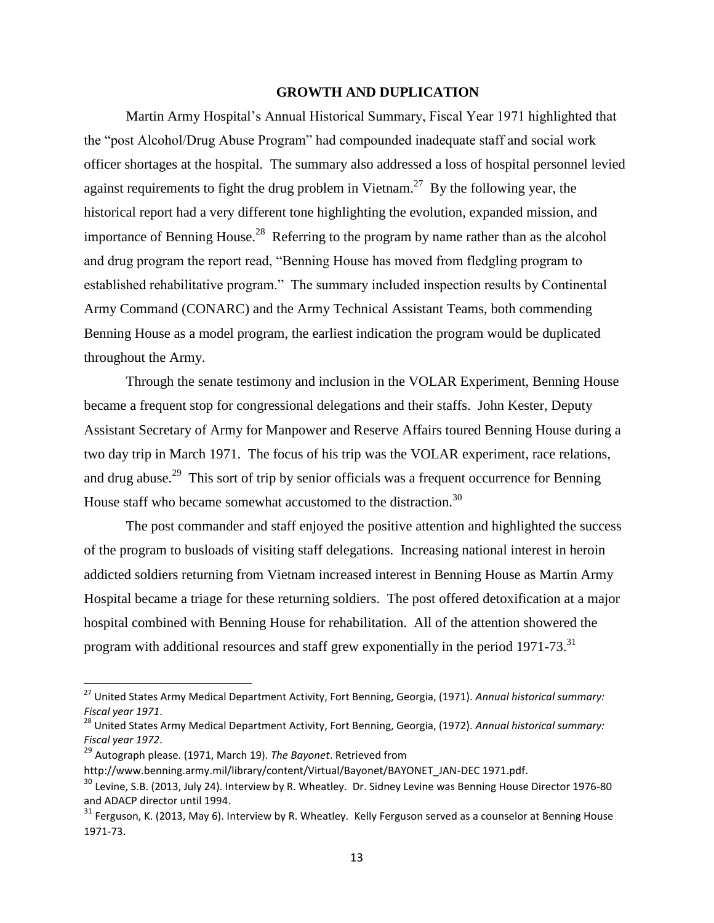## **GROWTH AND DUPLICATION**

Martin Army Hospital's Annual Historical Summary, Fiscal Year 1971 highlighted that the "post Alcohol/Drug Abuse Program" had compounded inadequate staff and social work officer shortages at the hospital. The summary also addressed a loss of hospital personnel levied against requirements to fight the drug problem in Vietnam.<sup>27</sup> By the following year, the historical report had a very different tone highlighting the evolution, expanded mission, and importance of Benning House.<sup>28</sup> Referring to the program by name rather than as the alcohol and drug program the report read, "Benning House has moved from fledgling program to established rehabilitative program." The summary included inspection results by Continental Army Command (CONARC) and the Army Technical Assistant Teams, both commending Benning House as a model program, the earliest indication the program would be duplicated throughout the Army.

Through the senate testimony and inclusion in the VOLAR Experiment, Benning House became a frequent stop for congressional delegations and their staffs. John Kester, Deputy Assistant Secretary of Army for Manpower and Reserve Affairs toured Benning House during a two day trip in March 1971. The focus of his trip was the VOLAR experiment, race relations, and drug abuse.<sup>29</sup> This sort of trip by senior officials was a frequent occurrence for Benning House staff who became somewhat accustomed to the distraction.<sup>30</sup>

The post commander and staff enjoyed the positive attention and highlighted the success of the program to busloads of visiting staff delegations. Increasing national interest in heroin addicted soldiers returning from Vietnam increased interest in Benning House as Martin Army Hospital became a triage for these returning soldiers. The post offered detoxification at a major hospital combined with Benning House for rehabilitation. All of the attention showered the program with additional resources and staff grew exponentially in the period 1971-73.<sup>31</sup>

<sup>27</sup> United States Army Medical Department Activity, Fort Benning, Georgia, (1971). *Annual historical summary: Fiscal year 1971*.

<sup>28</sup> United States Army Medical Department Activity, Fort Benning, Georgia, (1972). *Annual historical summary: Fiscal year 1972*.

<sup>29</sup> Autograph please. (1971, March 19). *The Bayonet*. Retrieved from

http://www.benning.army.mil/library/content/Virtual/Bayonet/BAYONET\_JAN-DEC 1971.pdf.

<sup>&</sup>lt;sup>30</sup> Levine, S.B. (2013, July 24). Interview by R. Wheatley. Dr. Sidney Levine was Benning House Director 1976-80 and ADACP director until 1994.

<sup>&</sup>lt;sup>31</sup> Ferguson, K. (2013, May 6). Interview by R. Wheatley. Kelly Ferguson served as a counselor at Benning House 1971-73.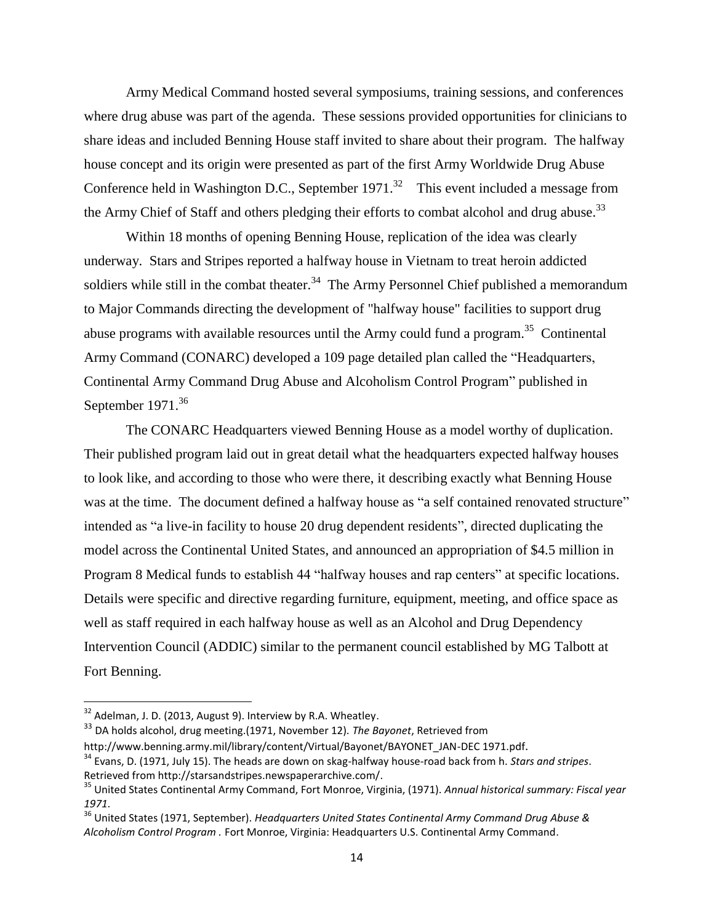Army Medical Command hosted several symposiums, training sessions, and conferences where drug abuse was part of the agenda. These sessions provided opportunities for clinicians to share ideas and included Benning House staff invited to share about their program. The halfway house concept and its origin were presented as part of the first Army Worldwide Drug Abuse Conference held in Washington D.C., September  $1971$ .<sup>32</sup> This event included a message from the Army Chief of Staff and others pledging their efforts to combat alcohol and drug abuse.<sup>33</sup>

Within 18 months of opening Benning House, replication of the idea was clearly underway. Stars and Stripes reported a halfway house in Vietnam to treat heroin addicted soldiers while still in the combat theater.<sup>34</sup> The Army Personnel Chief published a memorandum to Major Commands directing the development of "halfway house" facilities to support drug abuse programs with available resources until the Army could fund a program.<sup>35</sup> Continental Army Command (CONARC) developed a 109 page detailed plan called the "Headquarters, Continental Army Command Drug Abuse and Alcoholism Control Program" published in September  $1971.<sup>36</sup>$ 

The CONARC Headquarters viewed Benning House as a model worthy of duplication. Their published program laid out in great detail what the headquarters expected halfway houses to look like, and according to those who were there, it describing exactly what Benning House was at the time. The document defined a halfway house as "a self contained renovated structure" intended as "a live-in facility to house 20 drug dependent residents", directed duplicating the model across the Continental United States, and announced an appropriation of \$4.5 million in Program 8 Medical funds to establish 44 "halfway houses and rap centers" at specific locations. Details were specific and directive regarding furniture, equipment, meeting, and office space as well as staff required in each halfway house as well as an Alcohol and Drug Dependency Intervention Council (ADDIC) similar to the permanent council established by MG Talbott at Fort Benning.

 $32$  Adelman, J. D. (2013, August 9). Interview by R.A. Wheatley.

<sup>33</sup> DA holds alcohol, drug meeting.(1971, November 12). *The Bayonet*, Retrieved from

http://www.benning.army.mil/library/content/Virtual/Bayonet/BAYONET\_JAN-DEC 1971.pdf.

<sup>34</sup> Evans, D. (1971, July 15). The heads are down on skag-halfway house-road back from h. *Stars and stripes*. Retrieved from http://starsandstripes.newspaperarchive.com/.

<sup>35</sup> United States Continental Army Command, Fort Monroe, Virginia, (1971). *Annual historical summary: Fiscal year 1971*.

<sup>36</sup> United States (1971, September). *Headquarters United States Continental Army Command Drug Abuse & Alcoholism Control Program .* Fort Monroe, Virginia: Headquarters U.S. Continental Army Command.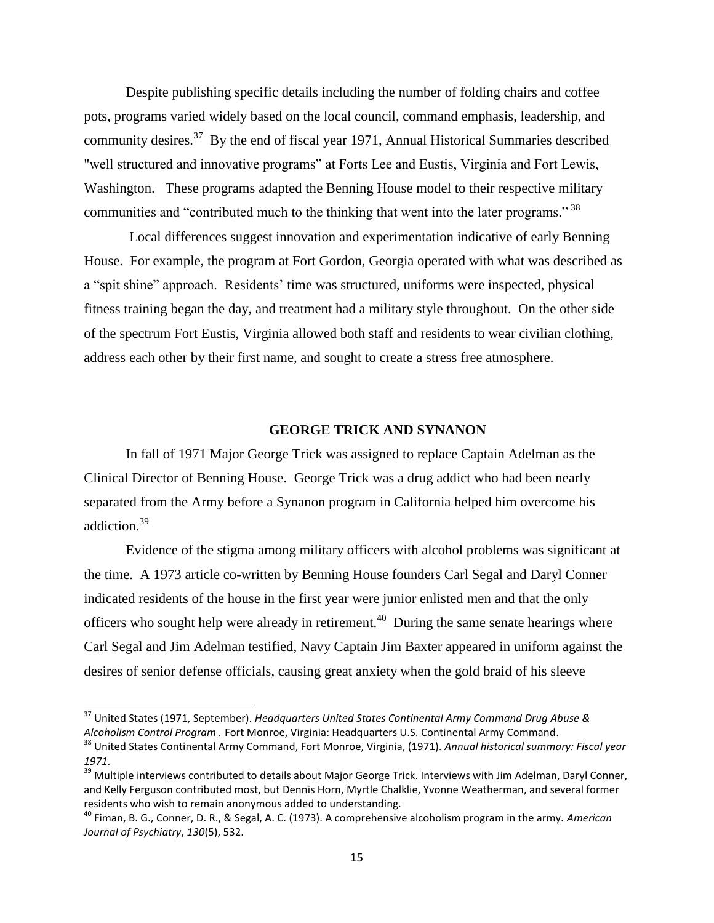Despite publishing specific details including the number of folding chairs and coffee pots, programs varied widely based on the local council, command emphasis, leadership, and community desires.<sup>37</sup> By the end of fiscal year 1971, Annual Historical Summaries described "well structured and innovative programs" at Forts Lee and Eustis, Virginia and Fort Lewis, Washington. These programs adapted the Benning House model to their respective military communities and "contributed much to the thinking that went into the later programs." <sup>38</sup>

Local differences suggest innovation and experimentation indicative of early Benning House. For example, the program at Fort Gordon, Georgia operated with what was described as a "spit shine" approach. Residents' time was structured, uniforms were inspected, physical fitness training began the day, and treatment had a military style throughout. On the other side of the spectrum Fort Eustis, Virginia allowed both staff and residents to wear civilian clothing, address each other by their first name, and sought to create a stress free atmosphere.

# **GEORGE TRICK AND SYNANON**

In fall of 1971 Major George Trick was assigned to replace Captain Adelman as the Clinical Director of Benning House. George Trick was a drug addict who had been nearly separated from the Army before a Synanon program in California helped him overcome his addiction.<sup>39</sup>

Evidence of the stigma among military officers with alcohol problems was significant at the time. A 1973 article co-written by Benning House founders Carl Segal and Daryl Conner indicated residents of the house in the first year were junior enlisted men and that the only officers who sought help were already in retirement.<sup>40</sup> During the same senate hearings where Carl Segal and Jim Adelman testified, Navy Captain Jim Baxter appeared in uniform against the desires of senior defense officials, causing great anxiety when the gold braid of his sleeve

<sup>37</sup> United States (1971, September). *Headquarters United States Continental Army Command Drug Abuse & Alcoholism Control Program .* Fort Monroe, Virginia: Headquarters U.S. Continental Army Command.

<sup>38</sup> United States Continental Army Command, Fort Monroe, Virginia, (1971). *Annual historical summary: Fiscal year 1971*.

<sup>&</sup>lt;sup>39</sup> Multiple interviews contributed to details about Major George Trick. Interviews with Jim Adelman, Daryl Conner, and Kelly Ferguson contributed most, but Dennis Horn, Myrtle Chalklie, Yvonne Weatherman, and several former residents who wish to remain anonymous added to understanding.

<sup>40</sup> Fiman, B. G., Conner, D. R., & Segal, A. C. (1973). A comprehensive alcoholism program in the army. *American Journal of Psychiatry*, *130*(5), 532.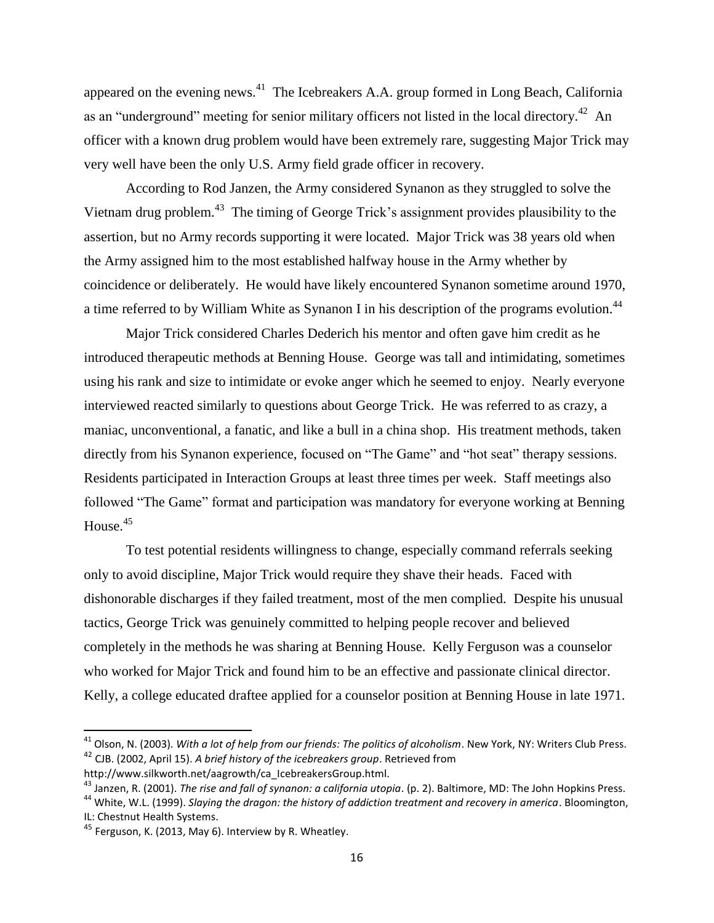appeared on the evening news. $^{41}$  The Icebreakers A.A. group formed in Long Beach, California as an "underground" meeting for senior military officers not listed in the local directory.<sup>42</sup> An officer with a known drug problem would have been extremely rare, suggesting Major Trick may very well have been the only U.S. Army field grade officer in recovery.

According to Rod Janzen, the Army considered Synanon as they struggled to solve the Vietnam drug problem.<sup>43</sup> The timing of George Trick's assignment provides plausibility to the assertion, but no Army records supporting it were located. Major Trick was 38 years old when the Army assigned him to the most established halfway house in the Army whether by coincidence or deliberately. He would have likely encountered Synanon sometime around 1970, a time referred to by William White as Synanon I in his description of the programs evolution.<sup>44</sup>

Major Trick considered Charles Dederich his mentor and often gave him credit as he introduced therapeutic methods at Benning House. George was tall and intimidating, sometimes using his rank and size to intimidate or evoke anger which he seemed to enjoy. Nearly everyone interviewed reacted similarly to questions about George Trick. He was referred to as crazy, a maniac, unconventional, a fanatic, and like a bull in a china shop. His treatment methods, taken directly from his Synanon experience, focused on "The Game" and "hot seat" therapy sessions. Residents participated in Interaction Groups at least three times per week. Staff meetings also followed "The Game" format and participation was mandatory for everyone working at Benning House. 45

To test potential residents willingness to change, especially command referrals seeking only to avoid discipline, Major Trick would require they shave their heads. Faced with dishonorable discharges if they failed treatment, most of the men complied. Despite his unusual tactics, George Trick was genuinely committed to helping people recover and believed completely in the methods he was sharing at Benning House. Kelly Ferguson was a counselor who worked for Major Trick and found him to be an effective and passionate clinical director. Kelly, a college educated draftee applied for a counselor position at Benning House in late 1971.

 $\overline{a}$ 

<sup>&</sup>lt;sup>41</sup> Olson, N. (2003). *With a lot of help from our friends: The politics of alcoholism*. New York, NY: Writers Club Press. <sup>42</sup> CJB. (2002, April 15). *A brief history of the icebreakers group*. Retrieved from

http://www.silkworth.net/aagrowth/ca\_IcebreakersGroup.html.

<sup>43</sup> Janzen, R. (2001). *The rise and fall of synanon: a california utopia*. (p. 2). Baltimore, MD: The John Hopkins Press.

<sup>44</sup> White, W.L. (1999). *Slaying the dragon: the history of addiction treatment and recovery in america*. Bloomington, IL: Chestnut Health Systems.

<sup>&</sup>lt;sup>45</sup> Ferguson, K. (2013, May 6). Interview by R. Wheatley.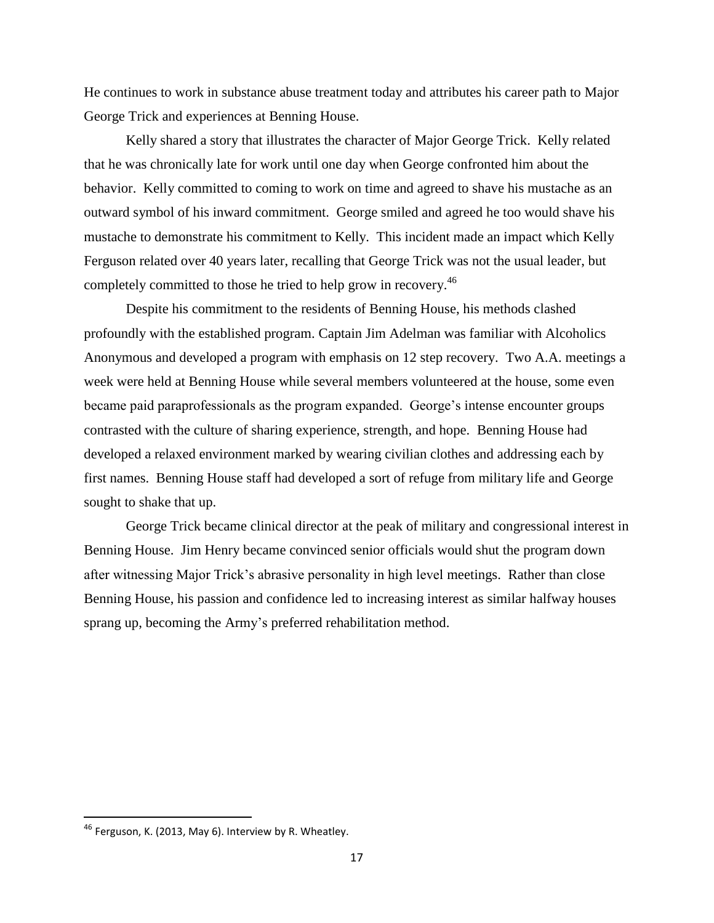He continues to work in substance abuse treatment today and attributes his career path to Major George Trick and experiences at Benning House.

Kelly shared a story that illustrates the character of Major George Trick. Kelly related that he was chronically late for work until one day when George confronted him about the behavior. Kelly committed to coming to work on time and agreed to shave his mustache as an outward symbol of his inward commitment. George smiled and agreed he too would shave his mustache to demonstrate his commitment to Kelly. This incident made an impact which Kelly Ferguson related over 40 years later, recalling that George Trick was not the usual leader, but completely committed to those he tried to help grow in recovery.<sup>46</sup>

Despite his commitment to the residents of Benning House, his methods clashed profoundly with the established program. Captain Jim Adelman was familiar with Alcoholics Anonymous and developed a program with emphasis on 12 step recovery. Two A.A. meetings a week were held at Benning House while several members volunteered at the house, some even became paid paraprofessionals as the program expanded. George's intense encounter groups contrasted with the culture of sharing experience, strength, and hope. Benning House had developed a relaxed environment marked by wearing civilian clothes and addressing each by first names. Benning House staff had developed a sort of refuge from military life and George sought to shake that up.

George Trick became clinical director at the peak of military and congressional interest in Benning House. Jim Henry became convinced senior officials would shut the program down after witnessing Major Trick's abrasive personality in high level meetings. Rather than close Benning House, his passion and confidence led to increasing interest as similar halfway houses sprang up, becoming the Army's preferred rehabilitation method.

<sup>46</sup> Ferguson, K. (2013, May 6). Interview by R. Wheatley.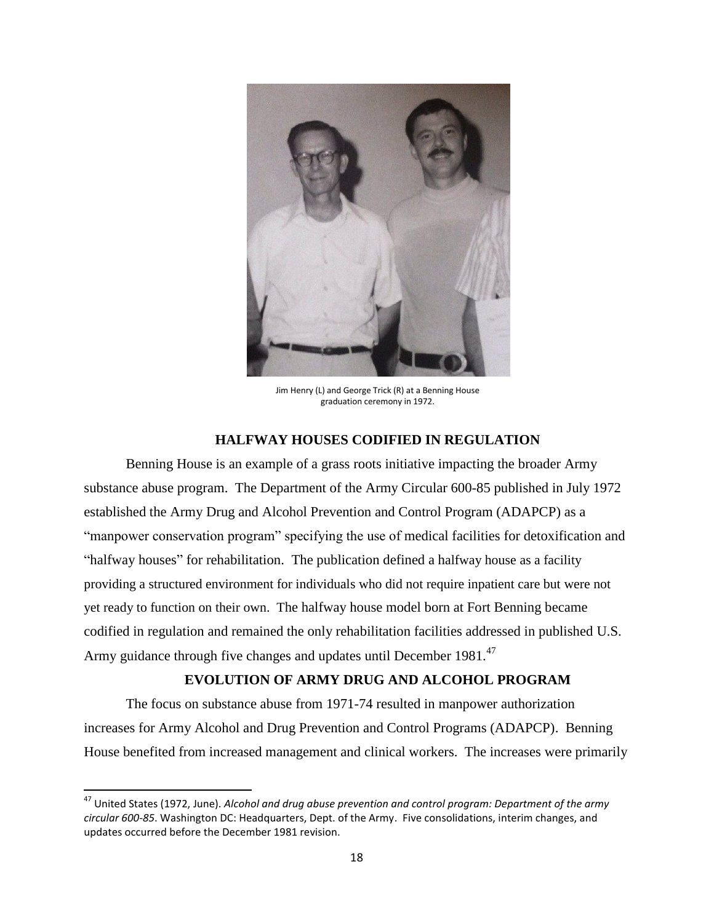

Jim Henry (L) and George Trick (R) at a Benning House graduation ceremony in 1972.

# **HALFWAY HOUSES CODIFIED IN REGULATION**

Benning House is an example of a grass roots initiative impacting the broader Army substance abuse program. The Department of the Army Circular 600-85 published in July 1972 established the Army Drug and Alcohol Prevention and Control Program (ADAPCP) as a "manpower conservation program" specifying the use of medical facilities for detoxification and "halfway houses" for rehabilitation. The publication defined a halfway house as a facility providing a structured environment for individuals who did not require inpatient care but were not yet ready to function on their own. The halfway house model born at Fort Benning became codified in regulation and remained the only rehabilitation facilities addressed in published U.S. Army guidance through five changes and updates until December 1981.<sup>47</sup>

# **EVOLUTION OF ARMY DRUG AND ALCOHOL PROGRAM**

The focus on substance abuse from 1971-74 resulted in manpower authorization increases for Army Alcohol and Drug Prevention and Control Programs (ADAPCP). Benning House benefited from increased management and clinical workers. The increases were primarily

<sup>47</sup> United States (1972, June). *Alcohol and drug abuse prevention and control program: Department of the army circular 600-85*. Washington DC: Headquarters, Dept. of the Army. Five consolidations, interim changes, and updates occurred before the December 1981 revision.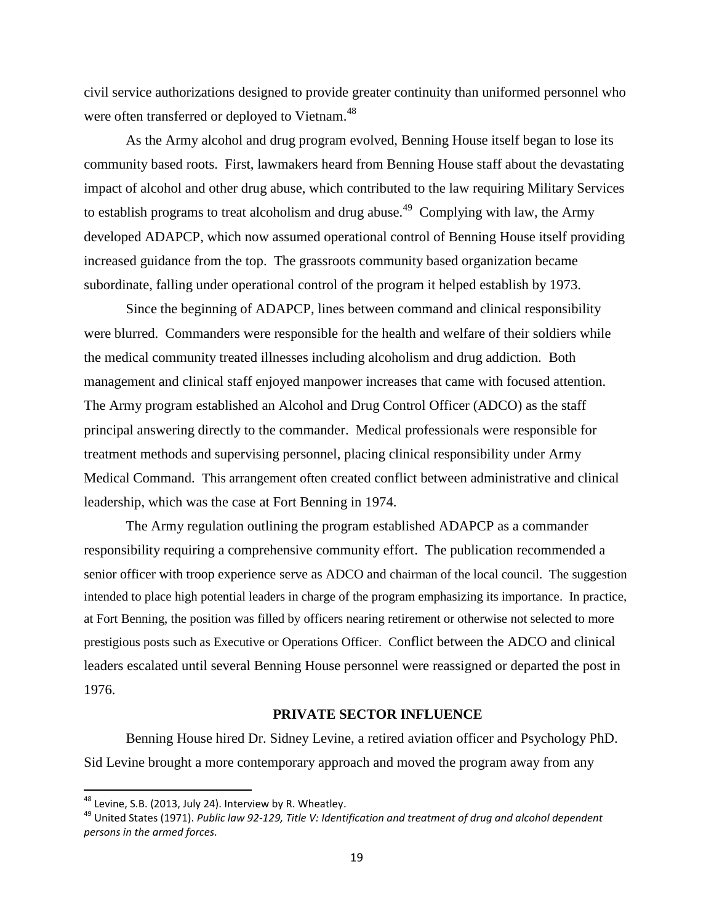civil service authorizations designed to provide greater continuity than uniformed personnel who were often transferred or deployed to Vietnam.<sup>48</sup>

As the Army alcohol and drug program evolved, Benning House itself began to lose its community based roots. First, lawmakers heard from Benning House staff about the devastating impact of alcohol and other drug abuse, which contributed to the law requiring Military Services to establish programs to treat alcoholism and drug abuse.<sup>49</sup> Complying with law, the Army developed ADAPCP, which now assumed operational control of Benning House itself providing increased guidance from the top. The grassroots community based organization became subordinate, falling under operational control of the program it helped establish by 1973.

Since the beginning of ADAPCP, lines between command and clinical responsibility were blurred. Commanders were responsible for the health and welfare of their soldiers while the medical community treated illnesses including alcoholism and drug addiction. Both management and clinical staff enjoyed manpower increases that came with focused attention. The Army program established an Alcohol and Drug Control Officer (ADCO) as the staff principal answering directly to the commander. Medical professionals were responsible for treatment methods and supervising personnel, placing clinical responsibility under Army Medical Command. This arrangement often created conflict between administrative and clinical leadership, which was the case at Fort Benning in 1974.

The Army regulation outlining the program established ADAPCP as a commander responsibility requiring a comprehensive community effort. The publication recommended a senior officer with troop experience serve as ADCO and chairman of the local council. The suggestion intended to place high potential leaders in charge of the program emphasizing its importance. In practice, at Fort Benning, the position was filled by officers nearing retirement or otherwise not selected to more prestigious posts such as Executive or Operations Officer. Conflict between the ADCO and clinical leaders escalated until several Benning House personnel were reassigned or departed the post in 1976.

# **PRIVATE SECTOR INFLUENCE**

Benning House hired Dr. Sidney Levine, a retired aviation officer and Psychology PhD. Sid Levine brought a more contemporary approach and moved the program away from any

 $^{48}$  Levine, S.B. (2013, July 24). Interview by R. Wheatley.

<sup>49</sup> United States (1971). *Public law 92-129, Title V: Identification and treatment of drug and alcohol dependent persons in the armed forces.*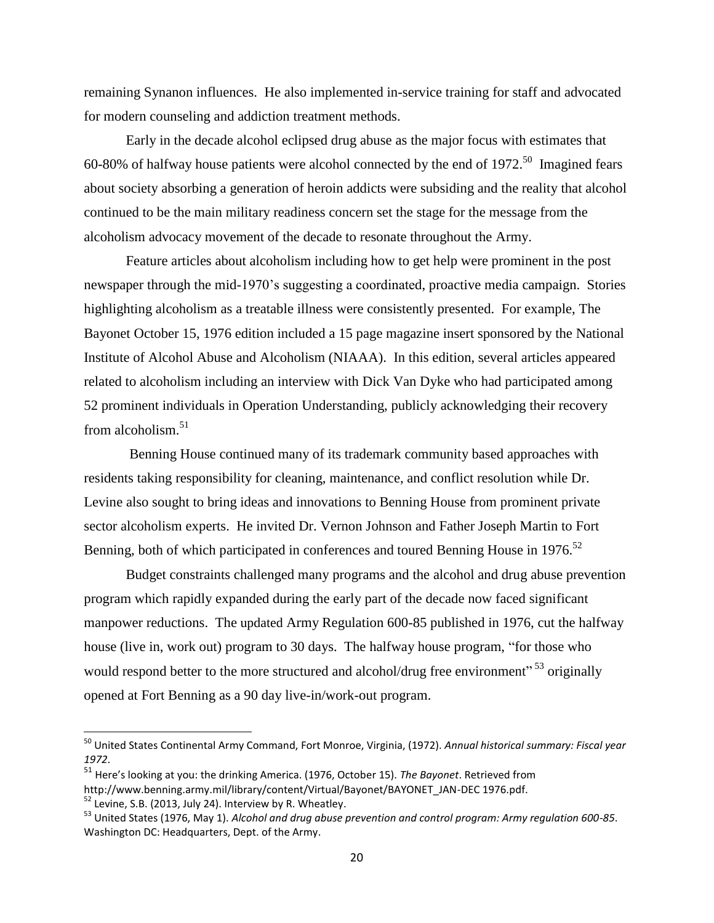remaining Synanon influences. He also implemented in-service training for staff and advocated for modern counseling and addiction treatment methods.

Early in the decade alcohol eclipsed drug abuse as the major focus with estimates that 60-80% of halfway house patients were alcohol connected by the end of  $1972$ <sup>50</sup> Imagined fears about society absorbing a generation of heroin addicts were subsiding and the reality that alcohol continued to be the main military readiness concern set the stage for the message from the alcoholism advocacy movement of the decade to resonate throughout the Army.

Feature articles about alcoholism including how to get help were prominent in the post newspaper through the mid-1970's suggesting a coordinated, proactive media campaign. Stories highlighting alcoholism as a treatable illness were consistently presented. For example, The Bayonet October 15, 1976 edition included a 15 page magazine insert sponsored by the National Institute of Alcohol Abuse and Alcoholism (NIAAA). In this edition, several articles appeared related to alcoholism including an interview with Dick Van Dyke who had participated among 52 prominent individuals in Operation Understanding, publicly acknowledging their recovery from alcoholism.<sup>51</sup>

Benning House continued many of its trademark community based approaches with residents taking responsibility for cleaning, maintenance, and conflict resolution while Dr. Levine also sought to bring ideas and innovations to Benning House from prominent private sector alcoholism experts. He invited Dr. Vernon Johnson and Father Joseph Martin to Fort Benning, both of which participated in conferences and toured Benning House in 1976.<sup>52</sup>

Budget constraints challenged many programs and the alcohol and drug abuse prevention program which rapidly expanded during the early part of the decade now faced significant manpower reductions. The updated Army Regulation 600-85 published in 1976, cut the halfway house (live in, work out) program to 30 days. The halfway house program, "for those who would respond better to the more structured and alcohol/drug free environment"<sup>53</sup> originally opened at Fort Benning as a 90 day live-in/work-out program.

l

<sup>50</sup> United States Continental Army Command, Fort Monroe, Virginia, (1972). *Annual historical summary: Fiscal year 1972*.

<sup>51</sup> Here's looking at you: the drinking America. (1976, October 15). *The Bayonet*. Retrieved from

http://www.benning.army.mil/library/content/Virtual/Bayonet/BAYONET\_JAN-DEC 1976.pdf.  $52$  Levine, S.B. (2013, July 24). Interview by R. Wheatley.

<sup>53</sup> United States (1976, May 1). *Alcohol and drug abuse prevention and control program: Army regulation 600-85*. Washington DC: Headquarters, Dept. of the Army.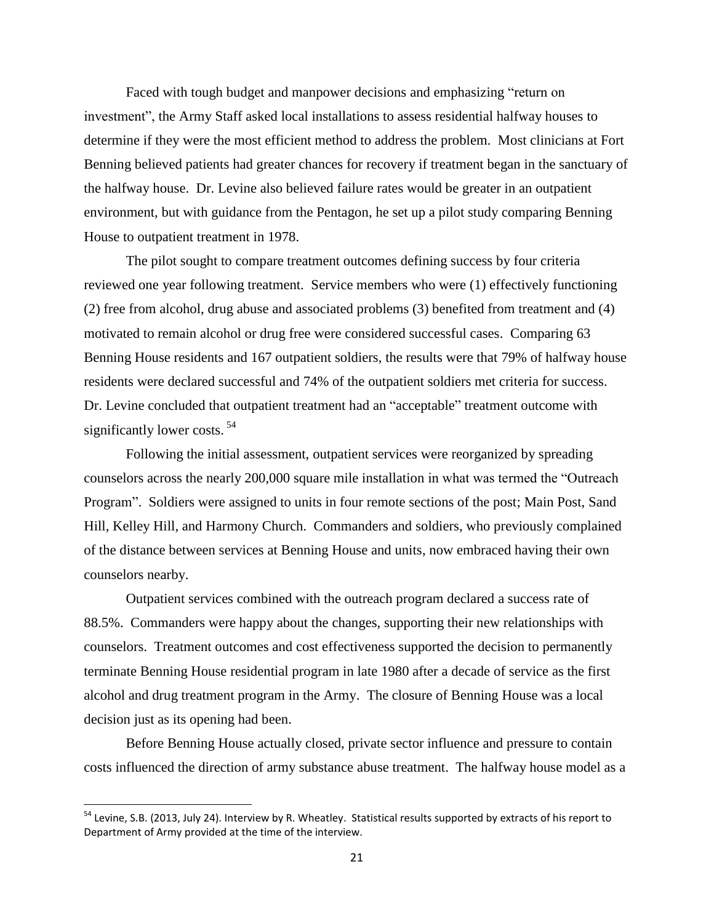Faced with tough budget and manpower decisions and emphasizing "return on investment", the Army Staff asked local installations to assess residential halfway houses to determine if they were the most efficient method to address the problem. Most clinicians at Fort Benning believed patients had greater chances for recovery if treatment began in the sanctuary of the halfway house. Dr. Levine also believed failure rates would be greater in an outpatient environment, but with guidance from the Pentagon, he set up a pilot study comparing Benning House to outpatient treatment in 1978.

The pilot sought to compare treatment outcomes defining success by four criteria reviewed one year following treatment. Service members who were (1) effectively functioning (2) free from alcohol, drug abuse and associated problems (3) benefited from treatment and (4) motivated to remain alcohol or drug free were considered successful cases. Comparing 63 Benning House residents and 167 outpatient soldiers, the results were that 79% of halfway house residents were declared successful and 74% of the outpatient soldiers met criteria for success. Dr. Levine concluded that outpatient treatment had an "acceptable" treatment outcome with significantly lower costs.<sup>54</sup>

Following the initial assessment, outpatient services were reorganized by spreading counselors across the nearly 200,000 square mile installation in what was termed the "Outreach Program". Soldiers were assigned to units in four remote sections of the post; Main Post, Sand Hill, Kelley Hill, and Harmony Church. Commanders and soldiers, who previously complained of the distance between services at Benning House and units, now embraced having their own counselors nearby.

Outpatient services combined with the outreach program declared a success rate of 88.5%. Commanders were happy about the changes, supporting their new relationships with counselors. Treatment outcomes and cost effectiveness supported the decision to permanently terminate Benning House residential program in late 1980 after a decade of service as the first alcohol and drug treatment program in the Army. The closure of Benning House was a local decision just as its opening had been.

Before Benning House actually closed, private sector influence and pressure to contain costs influenced the direction of army substance abuse treatment. The halfway house model as a

l

<sup>&</sup>lt;sup>54</sup> Levine, S.B. (2013, July 24). Interview by R. Wheatley. Statistical results supported by extracts of his report to Department of Army provided at the time of the interview.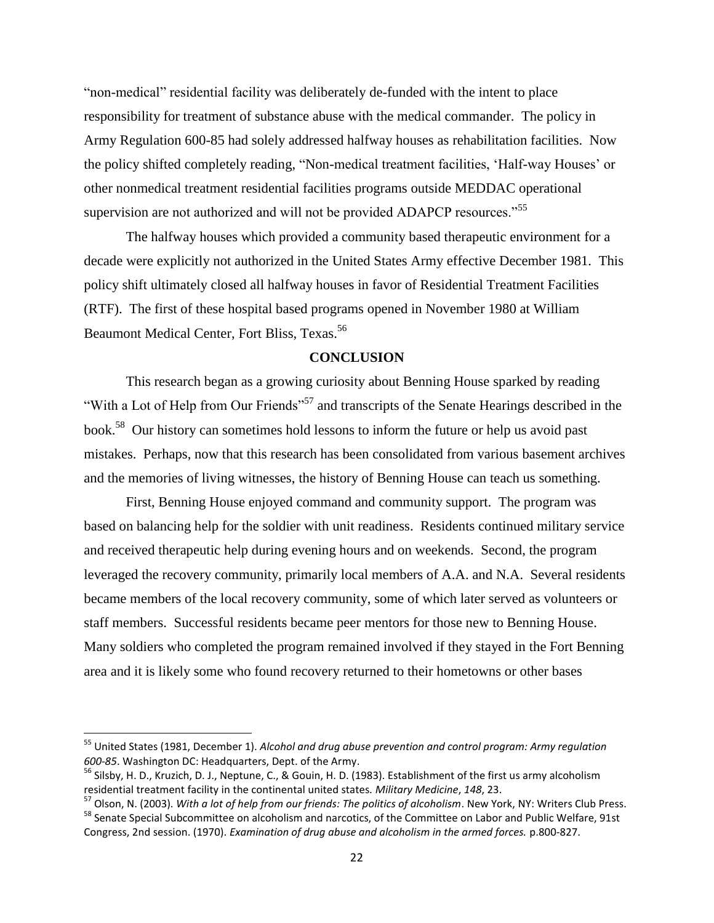"non-medical" residential facility was deliberately de-funded with the intent to place responsibility for treatment of substance abuse with the medical commander. The policy in Army Regulation 600-85 had solely addressed halfway houses as rehabilitation facilities. Now the policy shifted completely reading, "Non-medical treatment facilities, 'Half-way Houses' or other nonmedical treatment residential facilities programs outside MEDDAC operational supervision are not authorized and will not be provided ADAPCP resources."<sup>55</sup>

The halfway houses which provided a community based therapeutic environment for a decade were explicitly not authorized in the United States Army effective December 1981. This policy shift ultimately closed all halfway houses in favor of Residential Treatment Facilities (RTF). The first of these hospital based programs opened in November 1980 at William Beaumont Medical Center, Fort Bliss, Texas.<sup>56</sup>

### **CONCLUSION**

This research began as a growing curiosity about Benning House sparked by reading "With a Lot of Help from Our Friends"<sup>57</sup> and transcripts of the Senate Hearings described in the book.<sup>58</sup> Our history can sometimes hold lessons to inform the future or help us avoid past mistakes. Perhaps, now that this research has been consolidated from various basement archives and the memories of living witnesses, the history of Benning House can teach us something.

First, Benning House enjoyed command and community support. The program was based on balancing help for the soldier with unit readiness. Residents continued military service and received therapeutic help during evening hours and on weekends. Second, the program leveraged the recovery community, primarily local members of A.A. and N.A. Several residents became members of the local recovery community, some of which later served as volunteers or staff members. Successful residents became peer mentors for those new to Benning House. Many soldiers who completed the program remained involved if they stayed in the Fort Benning area and it is likely some who found recovery returned to their hometowns or other bases

<sup>55</sup> United States (1981, December 1). *Alcohol and drug abuse prevention and control program: Army regulation 600-85*. Washington DC: Headquarters, Dept. of the Army.

<sup>&</sup>lt;sup>56</sup> Silsby, H. D., Kruzich, D. J., Neptune, C., & Gouin, H. D. (1983). Establishment of the first us army alcoholism residential treatment facility in the continental united states. *Military Medicine*, *148*, 23.

<sup>57</sup> Olson, N. (2003). *With a lot of help from our friends: The politics of alcoholism*. New York, NY: Writers Club Press. <sup>58</sup> Senate Special Subcommittee on alcoholism and narcotics, of the Committee on Labor and Public Welfare, 91st Congress, 2nd session. (1970). *Examination of drug abuse and alcoholism in the armed forces.* p.800-827.